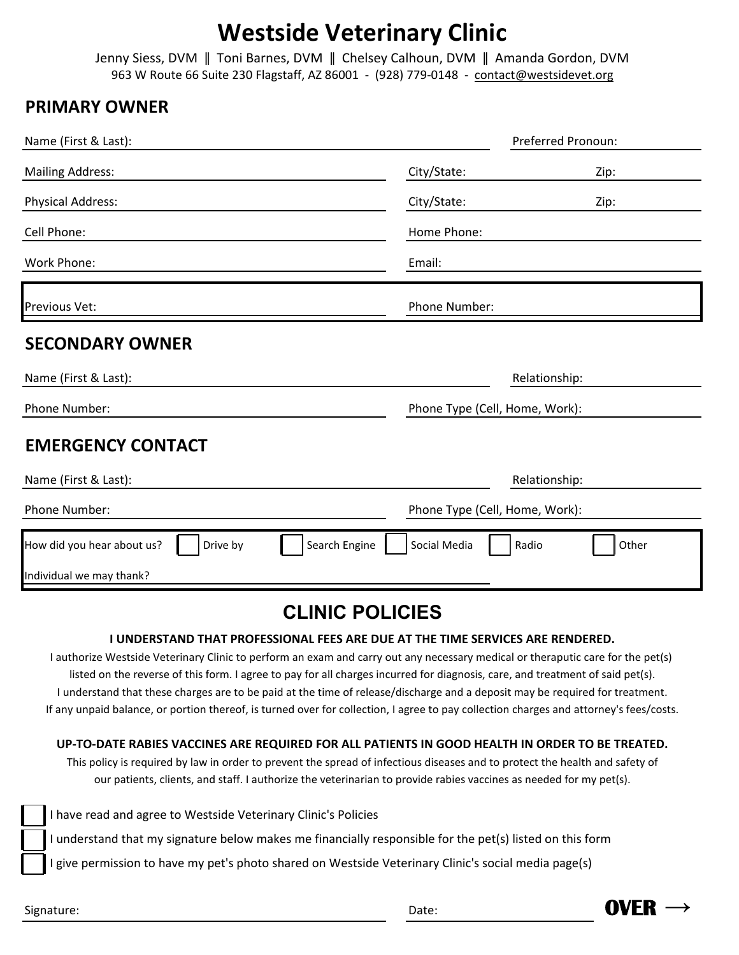## **Westside Veterinary Clinic**

Jenny Siess, DVM ǁ Toni Barnes, DVM ǁ Chelsey Calhoun, DVM ǁ Amanda Gordon, DVM 963 W Route 66 Suite 230 Flagstaff, AZ 86001 - (928) 779-0148 - contact@westsidevet.org

### **PRIMARY OWNER**

| Name (First & Last):                                    | Preferred Pronoun:             |  |  |  |  |  |  |  |
|---------------------------------------------------------|--------------------------------|--|--|--|--|--|--|--|
| <b>Mailing Address:</b>                                 | City/State:<br>Zip:            |  |  |  |  |  |  |  |
| <b>Physical Address:</b>                                | City/State:<br>Zip:            |  |  |  |  |  |  |  |
| Cell Phone:                                             | Home Phone:                    |  |  |  |  |  |  |  |
| Work Phone:                                             | Email:                         |  |  |  |  |  |  |  |
| Previous Vet:                                           | Phone Number:                  |  |  |  |  |  |  |  |
| <b>SECONDARY OWNER</b>                                  |                                |  |  |  |  |  |  |  |
| Name (First & Last):                                    | Relationship:                  |  |  |  |  |  |  |  |
| Phone Number:                                           | Phone Type (Cell, Home, Work): |  |  |  |  |  |  |  |
| <b>EMERGENCY CONTACT</b>                                |                                |  |  |  |  |  |  |  |
| Name (First & Last):                                    | Relationship:                  |  |  |  |  |  |  |  |
| Phone Number:                                           | Phone Type (Cell, Home, Work): |  |  |  |  |  |  |  |
| How did you hear about us?<br>Search Engine<br>Drive by | Social Media<br>Other<br>Radio |  |  |  |  |  |  |  |
| Individual we may thank?                                |                                |  |  |  |  |  |  |  |
|                                                         | CLINIIC DOLICIES               |  |  |  |  |  |  |  |

## **CLINIC POLICIES**

#### **I UNDERSTAND THAT PROFESSIONAL FEES ARE DUE AT THE TIME SERVICES ARE RENDERED.**

I understand that these charges are to be paid at the time of release/discharge and a deposit may be required for treatment. If any unpaid balance, or portion thereof, is turned over for collection, I agree to pay collection charges and attorney's fees/costs. I authorize Westside Veterinary Clinic to perform an exam and carry out any necessary medical or theraputic care for the pet(s) listed on the reverse of this form. I agree to pay for all charges incurred for diagnosis, care, and treatment of said pet(s).

#### **UP-TO-DATE RABIES VACCINES ARE REQUIRED FOR ALL PATIENTS IN GOOD HEALTH IN ORDER TO BE TREATED.**

This policy is required by law in order to prevent the spread of infectious diseases and to protect the health and safety of our patients, clients, and staff. I authorize the veterinarian to provide rabies vaccines as needed for my pet(s).

I have read and agree to Westside Veterinary Clinic's Policies

I understand that my signature below makes me financially responsible for the pet(s) listed on this form

I give permission to have my pet's photo shared on Westside Veterinary Clinic's social media page(s)